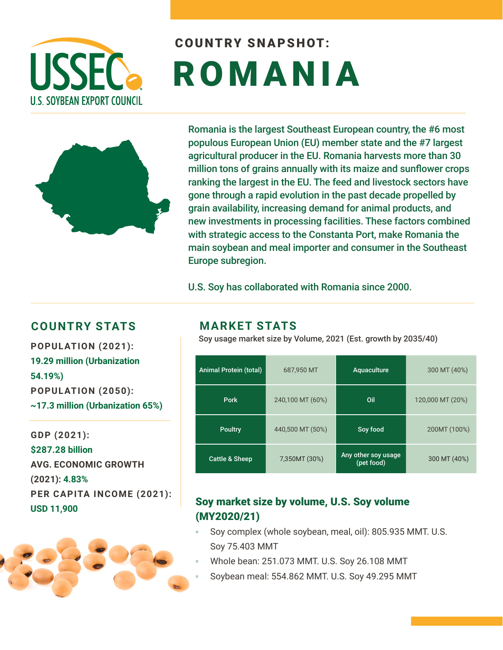

# COUNTRY SNAPSHOT: ROMANIA



Romania is the largest Southeast European country, the #6 most populous European Union (EU) member state and the #7 largest agricultural producer in the EU. Romania harvests more than 30 million tons of grains annually with its maize and sunflower crops ranking the largest in the EU. The feed and livestock sectors have gone through a rapid evolution in the past decade propelled by grain availability, increasing demand for animal products, and new investments in processing facilities. These factors combined with strategic access to the Constanta Port, make Romania the main soybean and meal importer and consumer in the Southeast Europe subregion.

U.S. Soy has collaborated with Romania since 2000.

### **COUNTRY STATS MARKET STATS**

**19.29 million (Urbanization 54.19%) POPULATION (2050): ~17.3 million (Urbanization 65%)** 

**GDP (2021): \$287.28 billion AVG. ECONOMIC GROWTH (2021): 4.83% PER CAPITA INCOME (2021): USD 11,900**



Soy usage market size by Volume, 2021 (Est. growth by 2035/40) **POPULATION (2021):** 

| <b>Animal Protein (total)</b> | 687,950 MT       | Aquaculture                       | 300 MT (40%)     |
|-------------------------------|------------------|-----------------------------------|------------------|
| <b>Pork</b>                   | 240,100 MT (60%) | Oil                               | 120,000 MT (20%) |
| <b>Poultry</b>                | 440,500 MT (50%) | Soy food                          | 200MT (100%)     |
| <b>Cattle &amp; Sheep</b>     | 7,350MT (30%)    | Any other soy usage<br>(pet food) | 300 MT (40%)     |

#### Soy market size by volume, U.S. Soy volume (MY2020/21)

- Soy complex (whole soybean, meal, oil): 805.935 MMT. U.S. Soy 75.403 MMT
- Whole bean: 251.073 MMT. U.S. Soy 26.108 MMT
- Soybean meal: 554.862 MMT. U.S. Soy 49.295 MMT